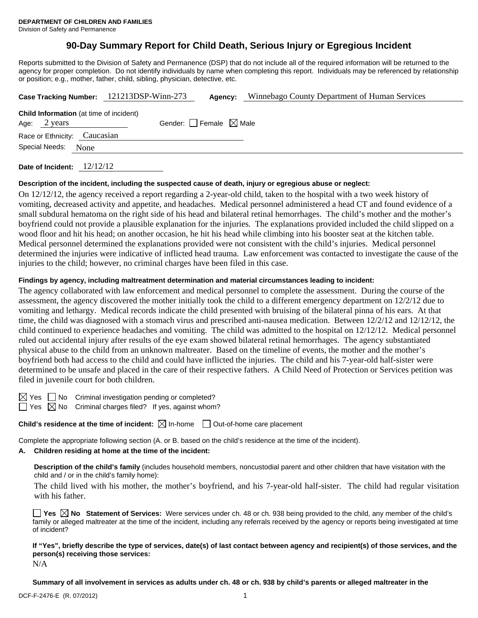# **90-Day Summary Report for Child Death, Serious Injury or Egregious Incident**

Reports submitted to the Division of Safety and Permanence (DSP) that do not include all of the required information will be returned to the agency for proper completion. Do not identify individuals by name when completing this report. Individuals may be referenced by relationship or position; e.g., mother, father, child, sibling, physician, detective, etc.

|                                                                          |  | Case Tracking Number: 121213DSP-Winn-273 | Agency: | Winnebago County Department of Human Services |  |  |
|--------------------------------------------------------------------------|--|------------------------------------------|---------|-----------------------------------------------|--|--|
| <b>Child Information</b> (at time of incident)<br>Age: $2 \text{ years}$ |  | Gender: Female $\boxtimes$ Male          |         |                                               |  |  |
| Race or Ethnicity: Caucasian                                             |  |                                          |         |                                               |  |  |
| Special Needs: None                                                      |  |                                          |         |                                               |  |  |
|                                                                          |  |                                          |         |                                               |  |  |

**Date of Incident:** 12/12/12

#### **Description of the incident, including the suspected cause of death, injury or egregious abuse or neglect:**

On 12/12/12, the agency received a report regarding a 2-year-old child, taken to the hospital with a two week history of vomiting, decreased activity and appetite, and headaches. Medical personnel administered a head CT and found evidence of a small subdural hematoma on the right side of his head and bilateral retinal hemorrhages. The child's mother and the mother's boyfriend could not provide a plausible explanation for the injuries. The explanations provided included the child slipped on a wood floor and hit his head; on another occasion, he hit his head while climbing into his booster seat at the kitchen table. Medical personnel determined the explanations provided were not consistent with the child's injuries. Medical personnel determined the injuries were indicative of inflicted head trauma. Law enforcement was contacted to investigate the cause of the injuries to the child; however, no criminal charges have been filed in this case.

#### **Findings by agency, including maltreatment determination and material circumstances leading to incident:**

The agency collaborated with law enforcement and medical personnel to complete the assessment. During the course of the assessment, the agency discovered the mother initially took the child to a different emergency department on 12/2/12 due to vomiting and lethargy. Medical records indicate the child presented with bruising of the bilateral pinna of his ears. At that time, the child was diagnosed with a stomach virus and prescribed anti-nausea medication. Between 12/2/12 and 12/12/12, the child continued to experience headaches and vomiting. The child was admitted to the hospital on 12/12/12. Medical personnel ruled out accidental injury after results of the eye exam showed bilateral retinal hemorrhages. The agency substantiated physical abuse to the child from an unknown maltreater. Based on the timeline of events, the mother and the mother's boyfriend both had access to the child and could have inflicted the injuries. The child and his 7-year-old half-sister were determined to be unsafe and placed in the care of their respective fathers. A Child Need of Protection or Services petition was filed in juvenile court for both children.

 $\boxtimes$  Yes  $\Box$  No Criminal investigation pending or completed?

 $\Box$  Yes  $\boxtimes$  No Criminal charges filed? If yes, against whom?

#### **Child's residence at the time of incident:**  $\boxtimes$  In-home  $\Box$  Out-of-home care placement

Complete the appropriate following section (A. or B. based on the child's residence at the time of the incident).

## **A. Children residing at home at the time of the incident:**

**Description of the child's family** (includes household members, noncustodial parent and other children that have visitation with the child and / or in the child's family home):

 The child lived with his mother, the mother's boyfriend, and his 7-year-old half-sister. The child had regular visitation with his father.

**Yes No Statement of Services:** Were services under ch. 48 or ch. 938 being provided to the child, any member of the child's family or alleged maltreater at the time of the incident, including any referrals received by the agency or reports being investigated at time of incident?

**If "Yes", briefly describe the type of services, date(s) of last contact between agency and recipient(s) of those services, and the person(s) receiving those services:**  N/A

**Summary of all involvement in services as adults under ch. 48 or ch. 938 by child's parents or alleged maltreater in the**